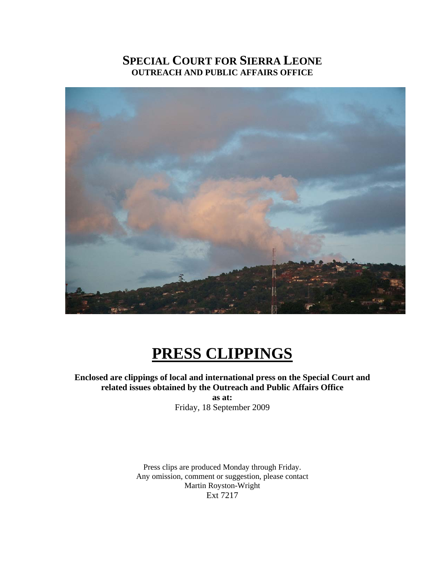# **SPECIAL COURT FOR SIERRA LEONE OUTREACH AND PUBLIC AFFAIRS OFFICE**



# **PRESS CLIPPINGS**

**Enclosed are clippings of local and international press on the Special Court and related issues obtained by the Outreach and Public Affairs Office as at:** 

Friday, 18 September 2009

Press clips are produced Monday through Friday. Any omission, comment or suggestion, please contact Martin Royston-Wright Ext 7217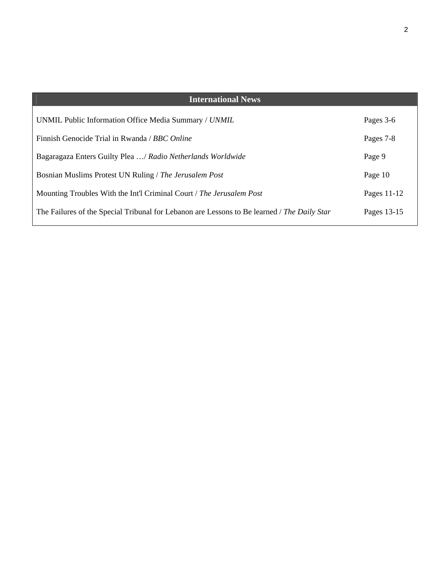| <b>International News</b>                                                                   |             |
|---------------------------------------------------------------------------------------------|-------------|
| UNMIL Public Information Office Media Summary / UNMIL                                       | Pages 3-6   |
| Finnish Genocide Trial in Rwanda / BBC Online                                               | Pages 7-8   |
| Bagaragaza Enters Guilty Plea / Radio Netherlands Worldwide                                 | Page 9      |
| Bosnian Muslims Protest UN Ruling / The Jerusalem Post                                      | Page 10     |
| Mounting Troubles With the Int'l Criminal Court / The Jerusalem Post                        | Pages 11-12 |
| The Failures of the Special Tribunal for Lebanon are Lessons to Be learned / The Daily Star | Pages 13-15 |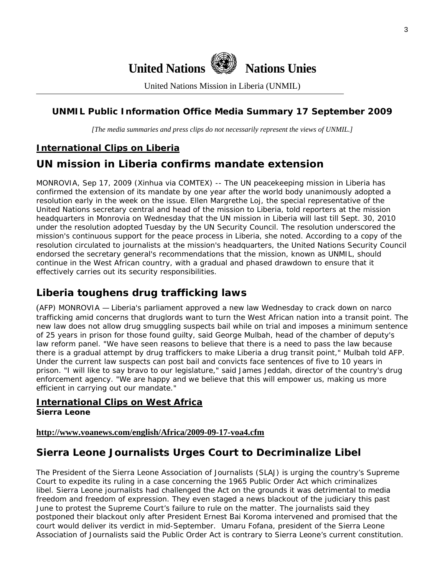

United Nations Mission in Liberia (UNMIL)

# **UNMIL Public Information Office Media Summary 17 September 2009**

*[The media summaries and press clips do not necessarily represent the views of UNMIL.]* 

# **International Clips on Liberia**

# **UN mission in Liberia confirms mandate extension**

MONROVIA, Sep 17, 2009 (Xinhua via COMTEX) -- The UN peacekeeping mission in Liberia has confirmed the extension of its mandate by one year after the world body unanimously adopted a resolution early in the week on the issue. Ellen Margrethe Loj, the special representative of the United Nations secretary central and head of the mission to Liberia, told reporters at the mission headquarters in Monrovia on Wednesday that the UN mission in Liberia will last till Sept. 30, 2010 under the resolution adopted Tuesday by the UN Security Council. The resolution underscored the mission's continuous support for the peace process in Liberia, she noted. According to a copy of the resolution circulated to journalists at the mission's headquarters, the United Nations Security Council endorsed the secretary general's recommendations that the mission, known as UNMIL, should continue in the West African country, with a gradual and phased drawdown to ensure that it effectively carries out its security responsibilities.

# **Liberia toughens drug trafficking laws**

(AFP) MONROVIA — Liberia's parliament approved a new law Wednesday to crack down on narco trafficking amid concerns that druglords want to turn the West African nation into a transit point. The new law does not allow drug smuggling suspects bail while on trial and imposes a minimum sentence of 25 years in prison for those found guilty, said George Mulbah, head of the chamber of deputy's law reform panel. "We have seen reasons to believe that there is a need to pass the law because there is a gradual attempt by drug traffickers to make Liberia a drug transit point," Mulbah told AFP. Under the current law suspects can post bail and convicts face sentences of five to 10 years in prison. "I will like to say bravo to our legislature," said James Jeddah, director of the country's drug enforcement agency. "We are happy and we believe that this will empower us, making us more efficient in carrying out our mandate."

#### **International Clips on West Africa Sierra Leone**

### **<http://www.voanews.com/english/Africa/2009-09-17-voa4.cfm>**

# **Sierra Leone Journalists Urges Court to Decriminalize Libel**

The President of the Sierra Leone Association of Journalists (SLAJ) is urging the country's Supreme Court to expedite its ruling in a case concerning the 1965 Public Order Act which criminalizes libel. Sierra Leone journalists had challenged the Act on the grounds it was detrimental to media freedom and freedom of expression. They even staged a news blackout of the judiciary this past June to protest the Supreme Court's failure to rule on the matter. The journalists said they postponed their blackout only after President Ernest Bai Koroma intervened and promised that the court would deliver its verdict in mid-September. Umaru Fofana, president of the Sierra Leone Association of Journalists said the Public Order Act is contrary to Sierra Leone's current constitution.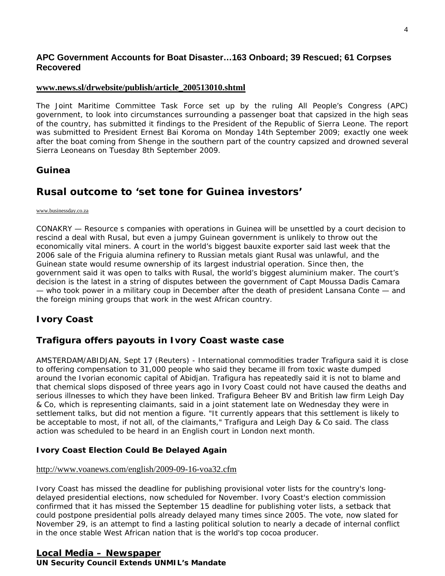### **APC Government Accounts for Boat Disaster…163 Onboard; 39 Rescued; 61 Corpses Recovered**

#### **[www.news.sl/drwebsite/publish/article\\_200513010.shtml](http://www.news.sl/drwebsite/publish/article_200513010.shtml)**

The Joint Maritime Committee Task Force set up by the ruling All People's Congress (APC) government, to look into circumstances surrounding a passenger boat that capsized in the high seas of the country, has submitted it findings to the President of the Republic of Sierra Leone. The report was submitted to President Ernest Bai Koroma on Monday 14th September 2009; exactly one week after the boat coming from Shenge in the southern part of the country capsized and drowned several Sierra Leoneans on Tuesday 8th September 2009.

### **Guinea**

# **Rusal outcome to 'set tone for Guinea investors'**

#### [www.businessday.co.za](http://www.businessday.co.za/)

CONAKRY — Resource s companies with operations in Guinea will be unsettled by a court decision to rescind a deal with Rusal, but even a jumpy Guinean government is unlikely to throw out the economically vital miners. A court in the world's biggest bauxite exporter said last week that the 2006 sale of the Friguia alumina refinery to Russian metals giant Rusal was unlawful, and the Guinean state would resume ownership of its largest industrial operation. Since then, the government said it was open to talks with Rusal, the world's biggest aluminium maker. The court's decision is the latest in a string of disputes between the government of Capt Moussa Dadis Camara — who took power in a military coup in December after the death of president Lansana Conte — and the foreign mining groups that work in the west African country.

### **Ivory Coast**

### **Trafigura offers payouts in Ivory Coast waste case**

AMSTERDAM/ABIDJAN, Sept 17 (Reuters) - International commodities trader Trafigura said it is close to offering compensation to 31,000 people who said they became ill from toxic waste dumped around the Ivorian economic capital of Abidjan. Trafigura has repeatedly said it is not to blame and that chemical slops disposed of three years ago in Ivory Coast could not have caused the deaths and serious illnesses to which they have been linked. Trafigura Beheer BV and British law firm Leigh Day & Co, which is representing claimants, said in a joint statement late on Wednesday they were in settlement talks, but did not mention a figure. "It currently appears that this settlement is likely to be acceptable to most, if not all, of the claimants," Trafigura and Leigh Day & Co said. The class action was scheduled to be heard in an English court in London next month.

### **Ivory Coast Election Could Be Delayed Again**

#### <http://www.voanews.com/english/2009-09-16-voa32.cfm>

Ivory Coast has missed the deadline for publishing provisional voter lists for the country's longdelayed presidential elections, now scheduled for November. Ivory Coast's election commission confirmed that it has missed the September 15 deadline for publishing voter lists, a setback that could postpone presidential polls already delayed many times since 2005. The vote, now slated for November 29, is an attempt to find a lasting political solution to nearly a decade of internal conflict in the once stable West African nation that is the world's top cocoa producer.

### **Local Media – Newspaper UN Security Council Extends UNMIL's Mandate**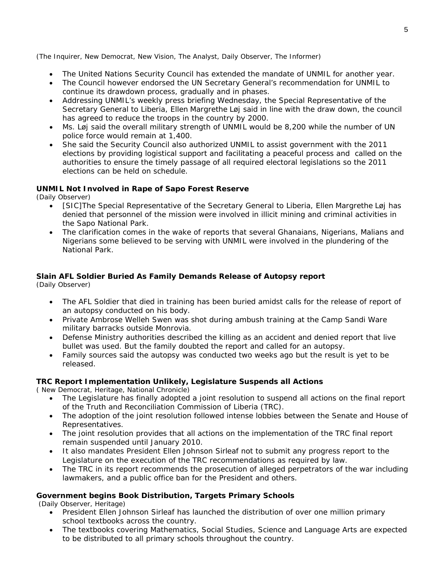(The Inquirer, New Democrat, New Vision, The Analyst, Daily Observer, The Informer)

- The United Nations Security Council has extended the mandate of UNMIL for another year.
- The Council however endorsed the UN Secretary General's recommendation for UNMIL to continue its drawdown process, gradually and in phases.
- Addressing UNMIL's weekly press briefing Wednesday, the Special Representative of the Secretary General to Liberia, Ellen Margrethe Løj said in line with the draw down, the council has agreed to reduce the troops in the country by 2000.
- Ms. Løj said the overall military strength of UNMIL would be 8,200 while the number of UN police force would remain at 1,400.
- She said the Security Council also authorized UNMIL to assist government with the 2011 elections by providing logistical support and facilitating a peaceful process and called on the authorities to ensure the timely passage of all required electoral legislations so the 2011 elections can be held on schedule.

#### **UNMIL Not Involved in Rape of Sapo Forest Reserve**

(Daily Observer)

- [SIC]The Special Representative of the Secretary General to Liberia, Ellen Margrethe Løj has denied that personnel of the mission were involved in illicit mining and criminal activities in the Sapo National Park.
- The clarification comes in the wake of reports that several Ghanaians, Nigerians, Malians and Nigerians some believed to be serving with UNMIL were involved in the plundering of the National Park.

### **Slain AFL Soldier Buried As Family Demands Release of Autopsy report**

(Daily Observer)

- The AFL Soldier that died in training has been buried amidst calls for the release of report of an autopsy conducted on his body.
- Private Ambrose Welleh Swen was shot during ambush training at the Camp Sandi Ware military barracks outside Monrovia.
- Defense Ministry authorities described the killing as an accident and denied report that live bullet was used. But the family doubted the report and called for an autopsy.
- Family sources said the autopsy was conducted two weeks ago but the result is yet to be released.

#### **TRC Report Implementation Unlikely, Legislature Suspends all Actions**

( New Democrat, Heritage, National Chronicle)

- The Legislature has finally adopted a joint resolution to suspend all actions on the final report of the Truth and Reconciliation Commission of Liberia (TRC).
- The adoption of the joint resolution followed intense lobbies between the Senate and House of Representatives.
- The joint resolution provides that all actions on the implementation of the TRC final report remain suspended until January 2010.
- It also mandates President Ellen Johnson Sirleaf not to submit any progress report to the Legislature on the execution of the TRC recommendations as required by law.
- The TRC in its report recommends the prosecution of alleged perpetrators of the war including lawmakers, and a public office ban for the President and others.

#### **Government begins Book Distribution, Targets Primary Schools**

(Daily Observer, Heritage)

- President Ellen Johnson Sirleaf has launched the distribution of over one million primary school textbooks across the country.
- The textbooks covering Mathematics, Social Studies, Science and Language Arts are expected to be distributed to all primary schools throughout the country.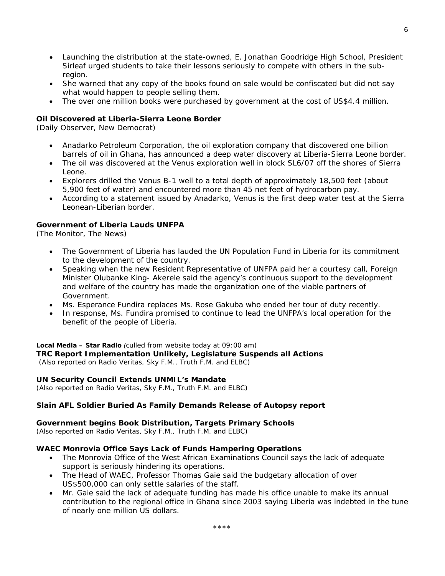- Launching the distribution at the state-owned, E. Jonathan Goodridge High School, President Sirleaf urged students to take their lessons seriously to compete with others in the subregion.
- She warned that any copy of the books found on sale would be confiscated but did not say what would happen to people selling them.
- The over one million books were purchased by government at the cost of US\$4.4 million.

#### **Oil Discovered at Liberia-Sierra Leone Border**

(Daily Observer, New Democrat)

- Anadarko Petroleum Corporation, the oil exploration company that discovered one billion barrels of oil in Ghana, has announced a deep water discovery at Liberia-Sierra Leone border.
- The oil was discovered at the Venus exploration well in block SL6/07 off the shores of Sierra Leone.
- Explorers drilled the Venus B-1 well to a total depth of approximately 18,500 feet (about 5,900 feet of water) and encountered more than 45 net feet of hydrocarbon pay.
- According to a statement issued by Anadarko, Venus is the first deep water test at the Sierra Leonean-Liberian border.

#### **Government of Liberia Lauds UNFPA**

(The Monitor, The News)

- The Government of Liberia has lauded the UN Population Fund in Liberia for its commitment to the development of the country.
- Speaking when the new Resident Representative of UNFPA paid her a courtesy call, Foreign Minister Olubanke King- Akerele said the agency's continuous support to the development and welfare of the country has made the organization one of the viable partners of Government.
- Ms. Esperance Fundira replaces Ms. Rose Gakuba who ended her tour of duty recently.
- In response, Ms. Fundira promised to continue to lead the UNFPA's local operation for the benefit of the people of Liberia.

#### **Local Media – Star Radio** *(culled from website today at 09:00 am)*  **TRC Report Implementation Unlikely, Legislature Suspends all Actions**  *(Also reported on Radio Veritas, Sky F.M., Truth F.M. and ELBC)*

#### **UN Security Council Extends UNMIL's Mandate**

*(Also reported on Radio Veritas, Sky F.M., Truth F.M. and ELBC)*

#### **Slain AFL Soldier Buried As Family Demands Release of Autopsy report**

#### **Government begins Book Distribution, Targets Primary Schools**

*(Also reported on Radio Veritas, Sky F.M., Truth F.M. and ELBC)*

#### **WAEC Monrovia Office Says Lack of Funds Hampering Operations**

- The Monrovia Office of the West African Examinations Council says the lack of adequate support is seriously hindering its operations.
- The Head of WAEC, Professor Thomas Gaie said the budgetary allocation of over US\$500,000 can only settle salaries of the staff.
- Mr. Gaie said the lack of adequate funding has made his office unable to make its annual contribution to the regional office in Ghana since 2003 saying Liberia was indebted in the tune of nearly one million US dollars.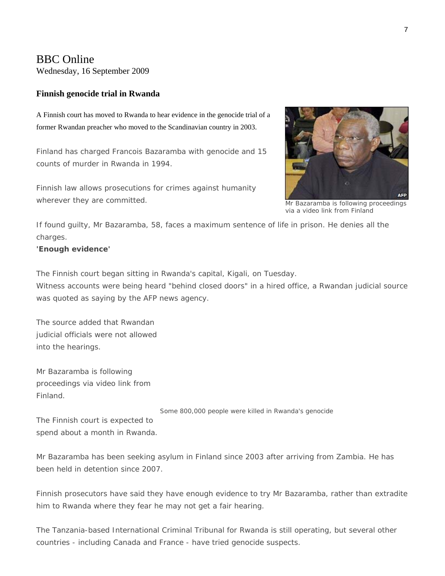### BBC Online

Wednesday, 16 September 2009

#### **Finnish genocide trial in Rwanda**

A Finnish court has moved to Rwanda to hear evidence in the genocide trial of a former Rwandan preacher who moved to the Scandinavian country in 2003.

Finland has charged Francois Bazaramba with genocide and 15 counts of murder in Rwanda in 1994.

Finnish law allows prosecutions for crimes against humanity wherever they are committed.



Mr Bazaramba is following proceedings via a video link from Finland

If found guilty, Mr Bazaramba, 58, faces a maximum sentence of life in prison. He denies all the charges.

#### **'Enough evidence'**

The Finnish court began sitting in Rwanda's capital, Kigali, on Tuesday. Witness accounts were being heard "behind closed doors" in a hired office, a Rwandan judicial source was quoted as saying by the AFP news agency.

The source added that Rwandan judicial officials were not allowed into the hearings.

Mr Bazaramba is following proceedings via video link from Finland.

Some 800,000 people were killed in Rwanda's genocide

The Finnish court is expected to spend about a month in Rwanda.

Mr Bazaramba has been seeking asylum in Finland since 2003 after arriving from Zambia. He has been held in detention since 2007.

Finnish prosecutors have said they have enough evidence to try Mr Bazaramba, rather than extradite him to Rwanda where they fear he may not get a fair hearing.

The Tanzania-based International Criminal Tribunal for Rwanda is still operating, but several other countries - including Canada and France - have tried genocide suspects.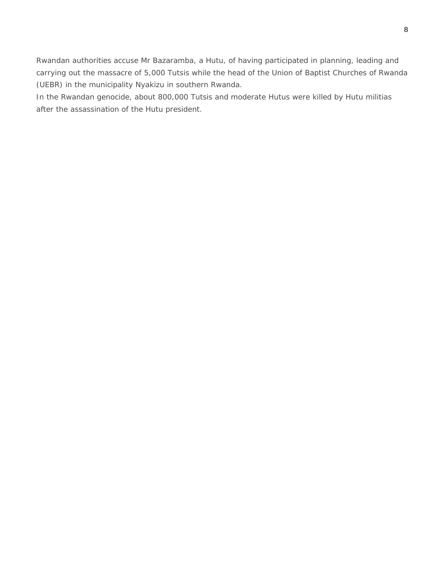Rwandan authorities accuse Mr Bazaramba, a Hutu, of having participated in planning, leading and carrying out the massacre of 5,000 Tutsis while the head of the Union of Baptist Churches of Rwanda (UEBR) in the municipality Nyakizu in southern Rwanda.

In the Rwandan genocide, about 800,000 Tutsis and moderate Hutus were killed by Hutu militias after the assassination of the Hutu president.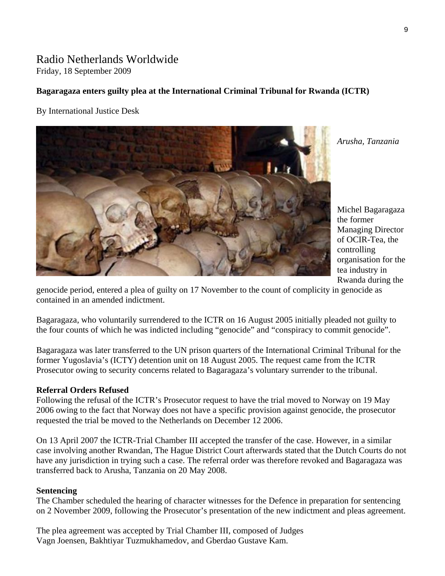# Radio Netherlands Worldwide

Friday, 18 September 2009

### **Bagaragaza enters guilty plea at the International Criminal Tribunal for Rwanda (ICTR)**

By International Justice Desk



*Arusha, Tanzania* 

Michel Bagaragaza the former Managing Director of OCIR-Tea, the controlling organisation for the tea industry in Rwanda during the

genocide period, entered a plea of guilty on 17 November to the count of complicity in genocide as contained in an amended indictment.

Bagaragaza, who voluntarily surrendered to the ICTR on 16 August 2005 initially pleaded not guilty to the four counts of which he was indicted including "genocide" and "conspiracy to commit genocide".

Bagaragaza was later transferred to the UN prison quarters of the International Criminal Tribunal for the former Yugoslavia's (ICTY) detention unit on 18 August 2005. The request came from the ICTR Prosecutor owing to security concerns related to Bagaragaza's voluntary surrender to the tribunal.

### **Referral Orders Refused**

Following the refusal of the ICTR's Prosecutor request to have the trial moved to Norway on 19 May 2006 owing to the fact that Norway does not have a specific provision against genocide, the prosecutor requested the trial be moved to the Netherlands on December 12 2006.

On 13 April 2007 the ICTR-Trial Chamber III accepted the transfer of the case. However, in a similar case involving another Rwandan, The Hague District Court afterwards stated that the Dutch Courts do not have any jurisdiction in trying such a case. The referral order was therefore revoked and Bagaragaza was transferred back to Arusha, Tanzania on 20 May 2008.

### **Sentencing**

The Chamber scheduled the hearing of character witnesses for the Defence in preparation for sentencing on 2 November 2009, following the Prosecutor's presentation of the new indictment and pleas agreement.

The plea agreement was accepted by Trial Chamber III, composed of Judges Vagn Joensen, Bakhtiyar Tuzmukhamedov, and Gberdao Gustave Kam.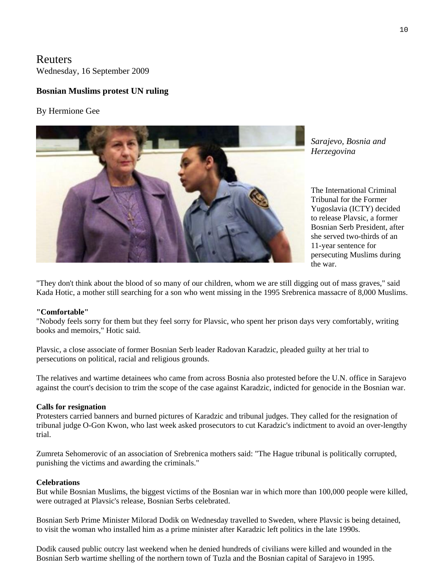Reuters Wednesday, 16 September 2009

### **Bosnian Muslims protest UN ruling**

#### By Hermione Gee



*Sarajevo, Bosnia and Herzegovina* 

The International Criminal Tribunal for the Former Yugoslavia (ICTY) decided to release Plavsic, a former Bosnian Serb President, after she served two-thirds of an 11-year sentence for persecuting Muslims during the war.

"They don't think about the blood of so many of our children, whom we are still digging out of mass graves," said Kada Hotic, a mother still searching for a son who went missing in the 1995 Srebrenica massacre of 8,000 Muslims.

#### **"Comfortable"**

"Nobody feels sorry for them but they feel sorry for Plavsic, who spent her prison days very comfortably, writing books and memoirs," Hotic said.

Plavsic, a close associate of former Bosnian Serb leader Radovan Karadzic, pleaded guilty at her trial to persecutions on political, racial and religious grounds.

The relatives and wartime detainees who came from across Bosnia also protested before the U.N. office in Sarajevo against the court's decision to trim the scope of the case against Karadzic, indicted for genocide in the Bosnian war.

#### **Calls for resignation**

Protesters carried banners and burned pictures of Karadzic and tribunal judges. They called for the resignation of tribunal judge O-Gon Kwon, who last week asked prosecutors to cut Karadzic's indictment to avoid an over-lengthy trial.

Zumreta Sehomerovic of an association of Srebrenica mothers said: "The Hague tribunal is politically corrupted, punishing the victims and awarding the criminals."

#### **Celebrations**

But while Bosnian Muslims, the biggest victims of the Bosnian war in which more than 100,000 people were killed, were outraged at Plavsic's release, Bosnian Serbs celebrated.

Bosnian Serb Prime Minister Milorad Dodik on Wednesday travelled to Sweden, where Plavsic is being detained, to visit the woman who installed him as a prime minister after Karadzic left politics in the late 1990s.

Dodik caused public outcry last weekend when he denied hundreds of civilians were killed and wounded in the Bosnian Serb wartime shelling of the northern town of Tuzla and the Bosnian capital of Sarajevo in 1995.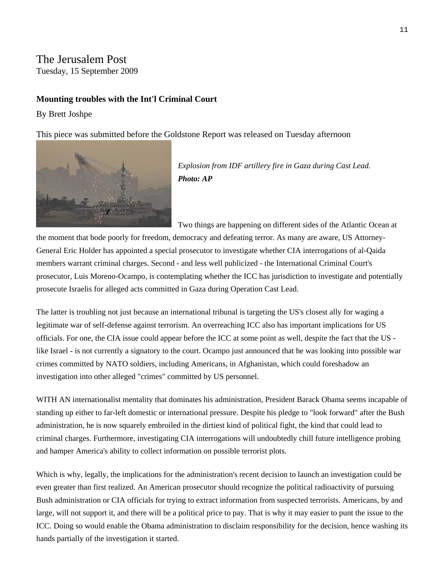# The Jerusalem Post

Tuesday, 15 September 2009

### **Mounting troubles with the Int'l Criminal Court**

By [Brett Joshpe](mailto:editors@jpost.com) 

This piece was submitted before the Goldstone Report was released on Tuesday afternoon



*Explosion from IDF artillery fire in Gaza during Cast Lead. Photo: AP*

Two things are happening on different sides of the Atlantic Ocean at the moment that bode poorly for freedom, democracy and defeating terror. As many are aware, US Attorney-General Eric Holder has appointed a special prosecutor to investigate whether CIA interrogations of al-Qaida members warrant criminal charges. Second - and less well publicized - the International Criminal Court's prosecutor, Luis Moreno-Ocampo, is contemplating whether the ICC has jurisdiction to investigate and potentially prosecute Israelis for alleged acts committed in Gaza during Operation Cast Lead.

The latter is troubling not just because an international tribunal is targeting the US's closest ally for waging a legitimate war of self-defense against terrorism. An overreaching ICC also has important implications for US officials. For one, the CIA issue could appear before the ICC at some point as well, despite the fact that the US like Israel - is not currently a signatory to the court. Ocampo just announced that he was looking into possible war crimes committed by NATO soldiers, including Americans, in Afghanistan, which could foreshadow an investigation into other alleged "crimes" committed by US personnel.

WITH AN internationalist mentality that dominates his administration, President Barack Obama seems incapable of standing up either to far-left domestic or international pressure. Despite his pledge to "look forward" after the Bush administration, he is now squarely embroiled in the dirtiest kind of political fight, the kind that could lead to criminal charges. Furthermore, investigating CIA interrogations will undoubtedly chill future intelligence probing and hamper America's ability to collect information on possible terrorist plots.

Which is why, legally, the implications for the administration's recent decision to launch an investigation could be even greater than first realized. An American prosecutor should recognize the political radioactivity of pursuing Bush administration or CIA officials for trying to extract information from suspected terrorists. Americans, by and large, will not support it, and there will be a political price to pay. That is why it may easier to punt the issue to the ICC. Doing so would enable the Obama administration to disclaim responsibility for the decision, hence washing its hands partially of the investigation it started.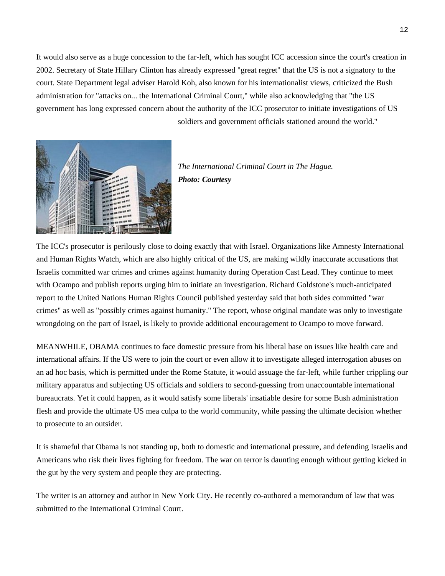It would also serve as a huge concession to the far-left, which has sought ICC accession since the court's creation in 2002. Secretary of State Hillary Clinton has already expressed "great regret" that the US is not a signatory to the court. State Department legal adviser Harold Koh, also known for his internationalist views, criticized the Bush administration for "attacks on... the International Criminal Court," while also acknowledging that "the US government has long expressed concern about the authority of the ICC prosecutor to initiate investigations of US soldiers and government officials stationed around the world."



*The International Criminal Court in The Hague. Photo: Courtesy*

The ICC's prosecutor is perilously close to doing exactly that with Israel. Organizations like Amnesty International and Human Rights Watch, which are also highly critical of the US, are making wildly inaccurate accusations that Israelis committed war crimes and crimes against humanity during Operation Cast Lead. They continue to meet with Ocampo and publish reports urging him to initiate an investigation. Richard Goldstone's much-anticipated report to the United Nations Human Rights Council published yesterday said that both sides committed "war crimes" as well as "possibly crimes against humanity." The report, whose original mandate was only to investigate wrongdoing on the part of Israel, is likely to provide additional encouragement to Ocampo to move forward.

MEANWHILE, OBAMA continues to face domestic pressure from his liberal base on issues like health care and international affairs. If the US were to join the court or even allow it to investigate alleged interrogation abuses on an ad hoc basis, which is permitted under the Rome Statute, it would assuage the far-left, while further crippling our military apparatus and subjecting US officials and soldiers to second-guessing from unaccountable international bureaucrats. Yet it could happen, as it would satisfy some liberals' insatiable desire for some Bush administration flesh and provide the ultimate US mea culpa to the world community, while passing the ultimate decision whether to prosecute to an outsider.

It is shameful that Obama is not standing up, both to domestic and international pressure, and defending Israelis and Americans who risk their lives fighting for freedom. The war on terror is daunting enough without getting kicked in the gut by the very system and people they are protecting.

The writer is an attorney and author in New York City. He recently co-authored a memorandum of law that was submitted to the International Criminal Court.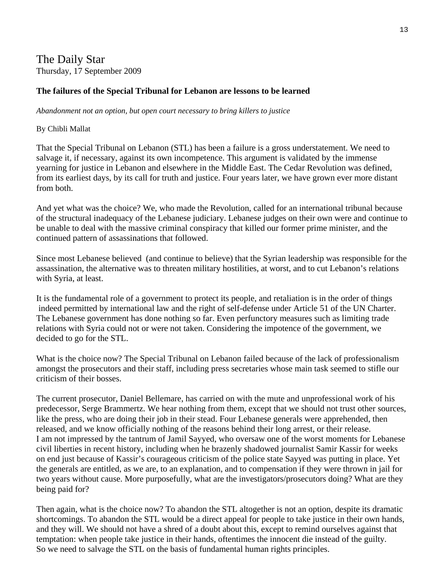## The Daily Star Thursday, 17 September 2009

### **The failures of the Special Tribunal for Lebanon are lessons to be learned**

*Abandonment not an option, but open court necessary to bring killers to justice*

### By Chibli Mallat

That the Special Tribunal on Lebanon (STL) has been a failure is a gross understatement. We need to salvage it, if necessary, against its own incompetence. This argument is validated by the immense yearning for justice in Lebanon and elsewhere in the Middle East. The Cedar Revolution was defined, from its earliest days, by its call for truth and justice. Four years later, we have grown ever more distant from both.

And yet what was the choice? We, who made the Revolution, called for an international tribunal because of the structural inadequacy of the Lebanese judiciary. Lebanese judges on their own were and continue to be unable to deal with the massive criminal conspiracy that killed our former prime minister, and the continued pattern of assassinations that followed.

Since most Lebanese believed (and continue to believe) that the Syrian leadership was responsible for the assassination, the alternative was to threaten military hostilities, at worst, and to cut Lebanon's relations with Syria, at least.

It is the fundamental role of a government to protect its people, and retaliation is in the order of things indeed permitted by international law and the right of self-defense under Article 51 of the UN Charter. The Lebanese government has done nothing so far. Even perfunctory measures such as limiting trade relations with Syria could not or were not taken. Considering the impotence of the government, we decided to go for the STL.

What is the choice now? The Special Tribunal on Lebanon failed because of the lack of professionalism amongst the prosecutors and their staff, including press secretaries whose main task seemed to stifle our criticism of their bosses.

The current prosecutor, Daniel Bellemare, has carried on with the mute and unprofessional work of his predecessor, Serge Brammertz. We hear nothing from them, except that we should not trust other sources, like the press, who are doing their job in their stead. Four Lebanese generals were apprehended, then released, and we know officially nothing of the reasons behind their long arrest, or their release. I am not impressed by the tantrum of Jamil Sayyed, who oversaw one of the worst moments for Lebanese civil liberties in recent history, including when he brazenly shadowed journalist Samir Kassir for weeks on end just because of Kassir's courageous criticism of the police state Sayyed was putting in place. Yet the generals are entitled, as we are, to an explanation, and to compensation if they were thrown in jail for two years without cause. More purposefully, what are the investigators/prosecutors doing? What are they being paid for?

Then again, what is the choice now? To abandon the STL altogether is not an option, despite its dramatic shortcomings. To abandon the STL would be a direct appeal for people to take justice in their own hands, and they will. We should not have a shred of a doubt about this, except to remind ourselves against that temptation: when people take justice in their hands, oftentimes the innocent die instead of the guilty. So we need to salvage the STL on the basis of fundamental human rights principles.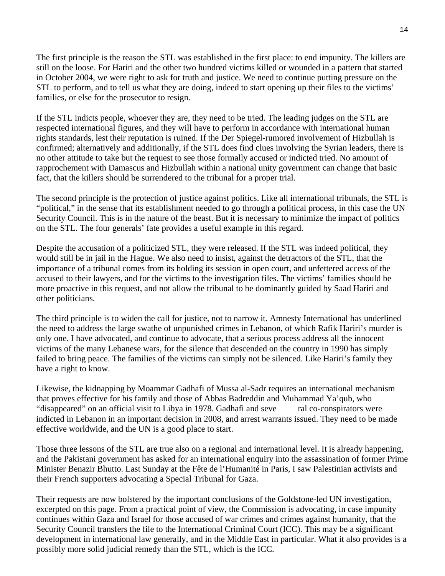The first principle is the reason the STL was established in the first place: to end impunity. The killers are still on the loose. For Hariri and the other two hundred victims killed or wounded in a pattern that started in October 2004, we were right to ask for truth and justice. We need to continue putting pressure on the STL to perform, and to tell us what they are doing, indeed to start opening up their files to the victims' families, or else for the prosecutor to resign.

If the STL indicts people, whoever they are, they need to be tried. The leading judges on the STL are respected international figures, and they will have to perform in accordance with international human rights standards, lest their reputation is ruined. If the Der Spiegel-rumored involvement of Hizbullah is confirmed; alternatively and additionally, if the STL does find clues involving the Syrian leaders, there is no other attitude to take but the request to see those formally accused or indicted tried. No amount of rapprochement with Damascus and Hizbullah within a national unity government can change that basic fact, that the killers should be surrendered to the tribunal for a proper trial.

The second principle is the protection of justice against politics. Like all international tribunals, the STL is "political," in the sense that its establishment needed to go through a political process, in this case the UN Security Council. This is in the nature of the beast. But it is necessary to minimize the impact of politics on the STL. The four generals' fate provides a useful example in this regard.

Despite the accusation of a politicized STL, they were released. If the STL was indeed political, they would still be in jail in the Hague. We also need to insist, against the detractors of the STL, that the importance of a tribunal comes from its holding its session in open court, and unfettered access of the accused to their lawyers, and for the victims to the investigation files. The victims' families should be more proactive in this request, and not allow the tribunal to be dominantly guided by Saad Hariri and other politicians.

The third principle is to widen the call for justice, not to narrow it. Amnesty International has underlined the need to address the large swathe of unpunished crimes in Lebanon, of which Rafik Hariri's murder is only one. I have advocated, and continue to advocate, that a serious process address all the innocent victims of the many Lebanese wars, for the silence that descended on the country in 1990 has simply failed to bring peace. The families of the victims can simply not be silenced. Like Hariri's family they have a right to know.

Likewise, the kidnapping by Moammar Gadhafi of Mussa al-Sadr requires an international mechanism that proves effective for his family and those of Abbas Badreddin and Muhammad Ya'qub, who "disappeared" on an official visit to Libya in 1978. Gadhafi and seve ral co-conspirators were indicted in Lebanon in an important decision in 2008, and arrest warrants issued. They need to be made effective worldwide, and the UN is a good place to start.

Those three lessons of the STL are true also on a regional and international level. It is already happening, and the Pakistani government has asked for an international enquiry into the assassination of former Prime Minister Benazir Bhutto. Last Sunday at the Fête de l'Humanité in Paris, I saw Palestinian activists and their French supporters advocating a Special Tribunal for Gaza.

Their requests are now bolstered by the important conclusions of the Goldstone-led UN investigation, excerpted on this page. From a practical point of view, the Commission is advocating, in case impunity continues within Gaza and Israel for those accused of war crimes and crimes against humanity, that the Security Council transfers the file to the International Criminal Court (ICC). This may be a significant development in international law generally, and in the Middle East in particular. What it also provides is a possibly more solid judicial remedy than the STL, which is the ICC.